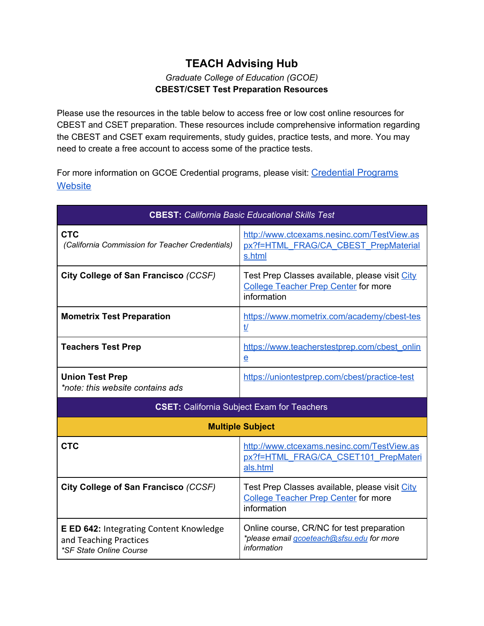## **TEACH Advising Hub** *Graduate College of Education (GCOE)* **CBEST/CSET Test Preparation Resources**

Please use the resources in the table below to access free or low cost online resources for CBEST and CSET preparation. These resources include comprehensive information regarding the CBEST and CSET exam requirements, study guides, practice tests, and more. You may need to create a free account to access some of the practice tests.

For more information on GCOE Credential programs, please visit: [Credential Programs](https://gcoe.sfsu.edu/programs/credential) **[Website](https://gcoe.sfsu.edu/programs/credential)** 

| <b>CBEST:</b> California Basic Educational Skills Test                                                            |                                                                                                              |  |
|-------------------------------------------------------------------------------------------------------------------|--------------------------------------------------------------------------------------------------------------|--|
| <b>CTC</b><br>(California Commission for Teacher Credentials)                                                     | http://www.ctcexams.nesinc.com/TestView.as<br>px?f=HTML FRAG/CA CBEST PrepMaterial<br>s.html                 |  |
| City College of San Francisco (CCSF)                                                                              | Test Prep Classes available, please visit City<br><b>College Teacher Prep Center for more</b><br>information |  |
| <b>Mometrix Test Preparation</b>                                                                                  | https://www.mometrix.com/academy/cbest-tes<br><u>t/</u>                                                      |  |
| <b>Teachers Test Prep</b>                                                                                         | https://www.teacherstestprep.com/cbest_onlin<br>$\mathbf e$                                                  |  |
| <b>Union Test Prep</b><br>*note: this website contains ads                                                        | https://uniontestprep.com/cbest/practice-test                                                                |  |
| <b>CSET:</b> California Subject Exam for Teachers                                                                 |                                                                                                              |  |
| <b>Multiple Subject</b>                                                                                           |                                                                                                              |  |
| <b>CTC</b>                                                                                                        | http://www.ctcexams.nesinc.com/TestView.as<br>px?f=HTML FRAG/CA CSET101 PrepMateri<br>als.html               |  |
| City College of San Francisco (CCSF)                                                                              | Test Prep Classes available, please visit City<br><b>College Teacher Prep Center for more</b><br>information |  |
| <b>E ED 642: Integrating Content Knowledge</b><br>and Teaching Practices<br><i><b>*SF State Online Course</b></i> | Online course, CR/NC for test preparation<br>*please email gcoeteach@sfsu.edu for more<br>information        |  |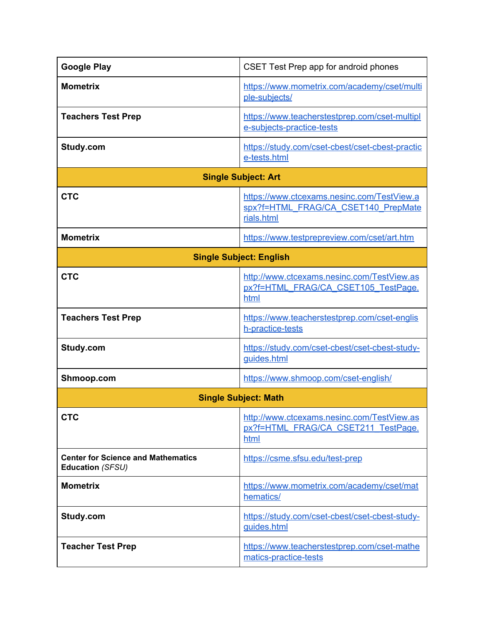| <b>Google Play</b>                                            | CSET Test Prep app for android phones                                                           |  |
|---------------------------------------------------------------|-------------------------------------------------------------------------------------------------|--|
| <b>Mometrix</b>                                               | https://www.mometrix.com/academy/cset/multi<br>ple-subjects/                                    |  |
| <b>Teachers Test Prep</b>                                     | https://www.teacherstestprep.com/cset-multipl<br>e-subjects-practice-tests                      |  |
| Study.com                                                     | https://study.com/cset-cbest/cset-cbest-practic<br>e-tests.html                                 |  |
| <b>Single Subject: Art</b>                                    |                                                                                                 |  |
| <b>CTC</b>                                                    | https://www.ctcexams.nesinc.com/TestView.a<br>spx?f=HTML FRAG/CA CSET140 PrepMate<br>rials.html |  |
| <b>Mometrix</b>                                               | https://www.testprepreview.com/cset/art.htm                                                     |  |
| <b>Single Subject: English</b>                                |                                                                                                 |  |
| <b>CTC</b>                                                    | http://www.ctcexams.nesinc.com/TestView.as<br>px?f=HTML FRAG/CA CSET105 TestPage.<br>html       |  |
| <b>Teachers Test Prep</b>                                     | https://www.teacherstestprep.com/cset-englis<br>h-practice-tests                                |  |
| Study.com                                                     | https://study.com/cset-cbest/cset-cbest-study-<br>guides.html                                   |  |
| Shmoop.com                                                    | https://www.shmoop.com/cset-english/                                                            |  |
| <b>Single Subject: Math</b>                                   |                                                                                                 |  |
| <b>CTC</b>                                                    | http://www.ctcexams.nesinc.com/TestView.as<br>px?f=HTML FRAG/CA CSET211 TestPage.<br>html       |  |
| <b>Center for Science and Mathematics</b><br>Education (SFSU) | https://csme.sfsu.edu/test-prep                                                                 |  |
| <b>Mometrix</b>                                               | https://www.mometrix.com/academy/cset/mat<br>hematics/                                          |  |
| Study.com                                                     | https://study.com/cset-cbest/cset-cbest-study-<br>guides.html                                   |  |
| <b>Teacher Test Prep</b>                                      | https://www.teacherstestprep.com/cset-mathe<br>matics-practice-tests                            |  |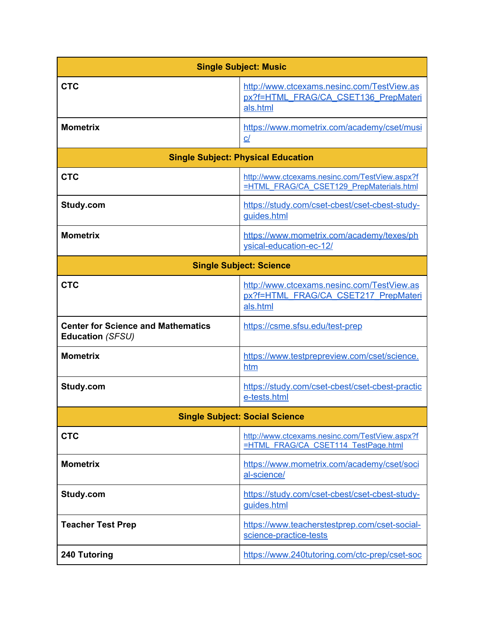| <b>Single Subject: Music</b>                                  |                                                                                                |  |
|---------------------------------------------------------------|------------------------------------------------------------------------------------------------|--|
| <b>CTC</b>                                                    | http://www.ctcexams.nesinc.com/TestView.as<br>px?f=HTML FRAG/CA CSET136 PrepMateri<br>als.html |  |
| <b>Mometrix</b>                                               | https://www.mometrix.com/academy/cset/musi<br>$C$ /                                            |  |
| <b>Single Subject: Physical Education</b>                     |                                                                                                |  |
| <b>CTC</b>                                                    | http://www.ctcexams.nesinc.com/TestView.aspx?f<br>=HTML_FRAG/CA_CSET129_PrepMaterials.html     |  |
| Study.com                                                     | https://study.com/cset-cbest/cset-cbest-study-<br>guides.html                                  |  |
| <b>Mometrix</b>                                               | https://www.mometrix.com/academy/texes/ph<br>ysical-education-ec-12/                           |  |
| <b>Single Subject: Science</b>                                |                                                                                                |  |
| <b>CTC</b>                                                    | http://www.ctcexams.nesinc.com/TestView.as<br>px?f=HTML FRAG/CA CSET217 PrepMateri<br>als.html |  |
| <b>Center for Science and Mathematics</b><br>Education (SFSU) | https://csme.sfsu.edu/test-prep                                                                |  |
| <b>Mometrix</b>                                               | https://www.testprepreview.com/cset/science.<br>htm                                            |  |
| Study.com                                                     | https://study.com/cset-cbest/cset-cbest-practic<br>e-tests.html                                |  |
| <b>Single Subject: Social Science</b>                         |                                                                                                |  |
| <b>CTC</b>                                                    | http://www.ctcexams.nesinc.com/TestView.aspx?f<br>=HTML FRAG/CA CSET114 TestPage.html          |  |
| <b>Mometrix</b>                                               | https://www.mometrix.com/academy/cset/soci<br>al-science/                                      |  |
| Study.com                                                     | https://study.com/cset-cbest/cset-cbest-study-<br>guides.html                                  |  |
| <b>Teacher Test Prep</b>                                      | https://www.teacherstestprep.com/cset-social-<br>science-practice-tests                        |  |
| 240 Tutoring                                                  | https://www.240tutoring.com/ctc-prep/cset-soc                                                  |  |